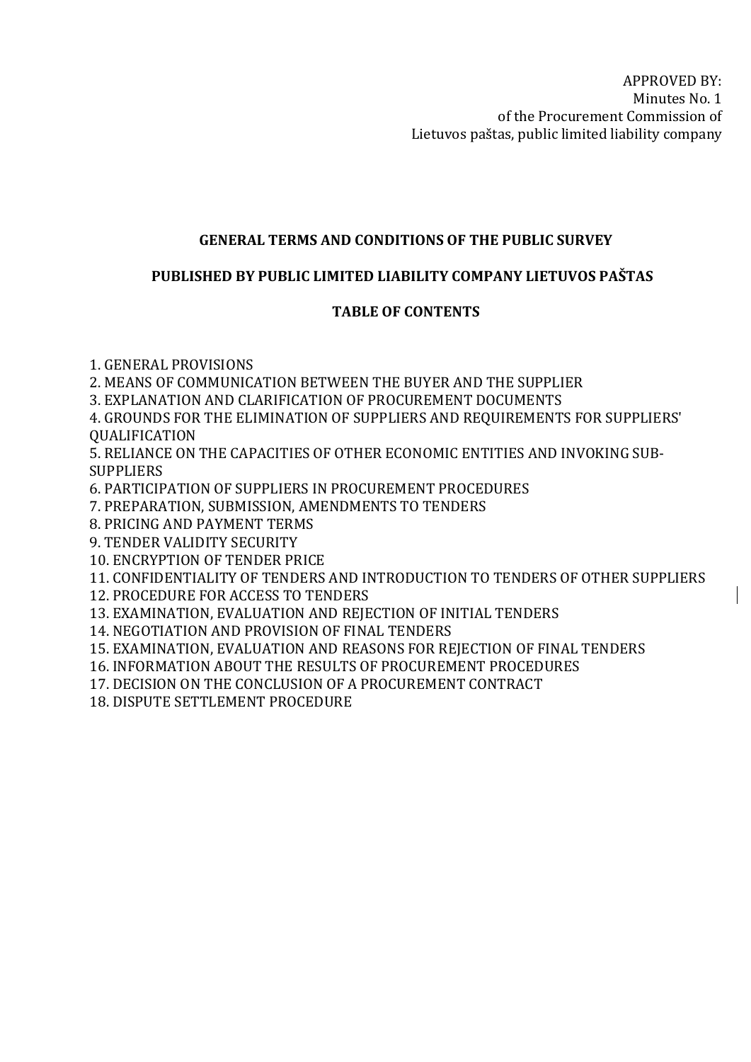# GENERAL TERMS AND CONDITIONS OF THE PUBLIC SURVEY

# PUBLISHED BY PUBLIC LIMITED LIABILITY COMPANY LIETUVOS PAŠTAS

# TABLE OF CONTENTS

1. GENERAL PROVISIONS

2. MEANS OF COMMUNICATION BETWEEN THE BUYER AND THE SUPPLIER

3. EXPLANATION AND CLARIFICATION OF PROCUREMENT DOCUMENTS

4. GROUNDS FOR THE ELIMINATION OF SUPPLIERS AND REQUIREMENTS FOR SUPPLIERS' QUALIFICATION

5. RELIANCE ON THE CAPACITIES OF OTHER ECONOMIC ENTITIES AND INVOKING SUB-SUPPLIERS

6. PARTICIPATION OF SUPPLIERS IN PROCUREMENT PROCEDURES

7. PREPARATION, SUBMISSION, AMENDMENTS TO TENDERS

8. PRICING AND PAYMENT TERMS

9. TENDER VALIDITY SECURITY

10. ENCRYPTION OF TENDER PRICE

11. CONFIDENTIALITY OF TENDERS AND INTRODUCTION TO TENDERS OF OTHER SUPPLIERS

12. PROCEDURE FOR ACCESS TO TENDERS

13. EXAMINATION, EVALUATION AND REJECTION OF INITIAL TENDERS

14. NEGOTIATION AND PROVISION OF FINAL TENDERS

15. EXAMINATION, EVALUATION AND REASONS FOR REJECTION OF FINAL TENDERS

16. INFORMATION ABOUT THE RESULTS OF PROCUREMENT PROCEDURES

17. DECISION ON THE CONCLUSION OF A PROCUREMENT CONTRACT

18. DISPUTE SETTLEMENT PROCEDURE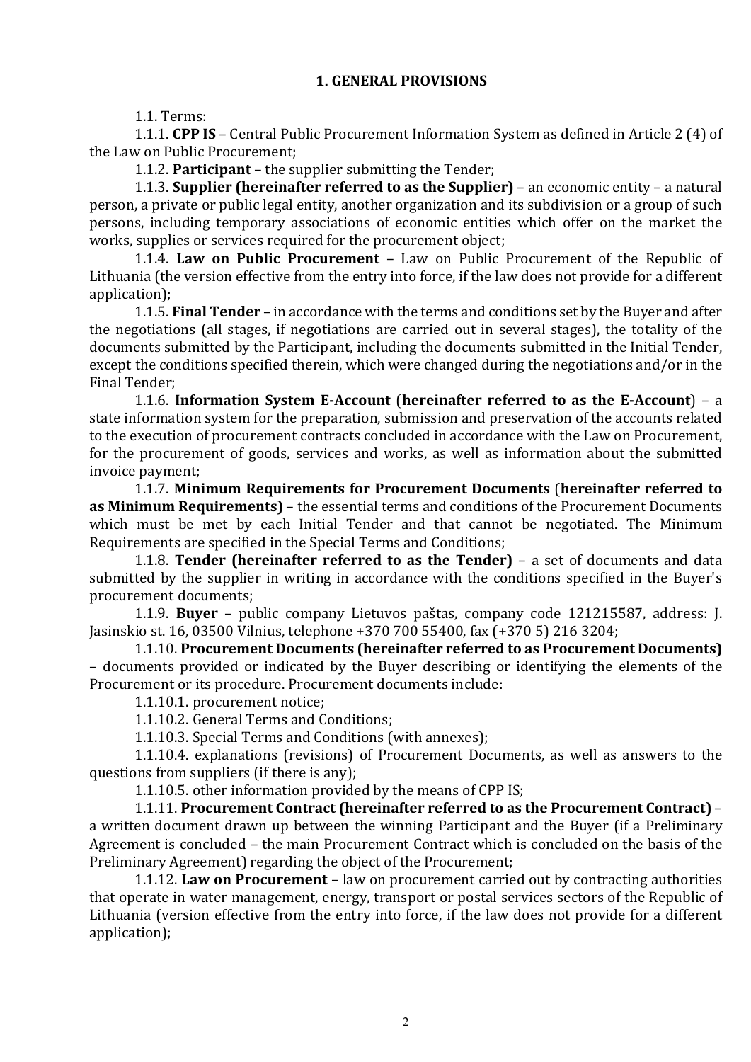### 1. GENERAL PROVISIONS

1.1. Terms:

1.1.1. CPP IS – Central Public Procurement Information System as defined in Article 2 (4) of the Law on Public Procurement;

1.1.2. Participant – the supplier submitting the Tender;

1.1.3. Supplier (hereinafter referred to as the Supplier) – an economic entity – a natural person, a private or public legal entity, another organization and its subdivision or a group of such persons, including temporary associations of economic entities which offer on the market the works, supplies or services required for the procurement object;

1.1.4. Law on Public Procurement – Law on Public Procurement of the Republic of Lithuania (the version effective from the entry into force, if the law does not provide for a different application);

1.1.5. Final Tender – in accordance with the terms and conditions set by the Buyer and after the negotiations (all stages, if negotiations are carried out in several stages), the totality of the documents submitted by the Participant, including the documents submitted in the Initial Tender, except the conditions specified therein, which were changed during the negotiations and/or in the Final Tender;

1.1.6. Information System E-Account (hereinafter referred to as the E-Account) – a state information system for the preparation, submission and preservation of the accounts related to the execution of procurement contracts concluded in accordance with the Law on Procurement, for the procurement of goods, services and works, as well as information about the submitted invoice payment;

1.1.7. Minimum Requirements for Procurement Documents (hereinafter referred to as Minimum Requirements) – the essential terms and conditions of the Procurement Documents which must be met by each Initial Tender and that cannot be negotiated. The Minimum Requirements are specified in the Special Terms and Conditions;

1.1.8. Tender (hereinafter referred to as the Tender) – a set of documents and data submitted by the supplier in writing in accordance with the conditions specified in the Buyer's procurement documents;

1.1.9. Buyer – public company Lietuvos paštas, company code 121215587, address: J. Jasinskio st. 16, 03500 Vilnius, telephone +370 700 55400, fax (+370 5) 216 3204;

1.1.10. Procurement Documents (hereinafter referred to as Procurement Documents) – documents provided or indicated by the Buyer describing or identifying the elements of the Procurement or its procedure. Procurement documents include:

1.1.10.1. procurement notice;

1.1.10.2. General Terms and Conditions;

1.1.10.3. Special Terms and Conditions (with annexes);

1.1.10.4. explanations (revisions) of Procurement Documents, as well as answers to the questions from suppliers (if there is any);

1.1.10.5. other information provided by the means of CPP IS;

1.1.11. Procurement Contract (hereinafter referred to as the Procurement Contract) – a written document drawn up between the winning Participant and the Buyer (if a Preliminary Agreement is concluded – the main Procurement Contract which is concluded on the basis of the Preliminary Agreement) regarding the object of the Procurement;

1.1.12. Law on Procurement – law on procurement carried out by contracting authorities that operate in water management, energy, transport or postal services sectors of the Republic of Lithuania (version effective from the entry into force, if the law does not provide for a different application);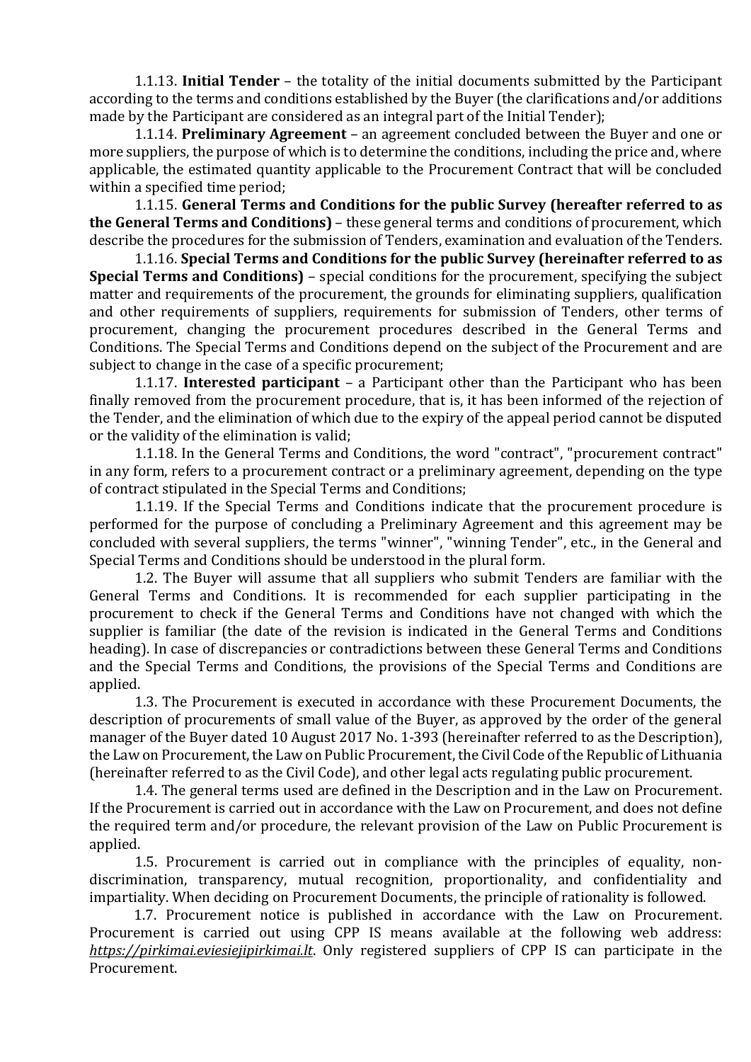1.1.13. Initial Tender – the totality of the initial documents submitted by the Participant according to the terms and conditions established by the Buyer (the clarifications and/or additions made by the Participant are considered as an integral part of the Initial Tender);

1.1.14. Preliminary Agreement – an agreement concluded between the Buyer and one or more suppliers, the purpose of which is to determine the conditions, including the price and, where applicable, the estimated quantity applicable to the Procurement Contract that will be concluded within a specified time period;

1.1.15. General Terms and Conditions for the public Survey (hereafter referred to as the General Terms and Conditions) - these general terms and conditions of procurement, which describe the procedures for the submission of Tenders, examination and evaluation of the Tenders.

1.1.16. Special Terms and Conditions for the public Survey (hereinafter referred to as Special Terms and Conditions) – special conditions for the procurement, specifying the subject matter and requirements of the procurement, the grounds for eliminating suppliers, qualification and other requirements of suppliers, requirements for submission of Tenders, other terms of procurement, changing the procurement procedures described in the General Terms and Conditions. The Special Terms and Conditions depend on the subject of the Procurement and are subject to change in the case of a specific procurement;

1.1.17. Interested participant – a Participant other than the Participant who has been finally removed from the procurement procedure, that is, it has been informed of the rejection of the Tender, and the elimination of which due to the expiry of the appeal period cannot be disputed or the validity of the elimination is valid;

1.1.18. In the General Terms and Conditions, the word "contract", "procurement contract" in any form, refers to a procurement contract or a preliminary agreement, depending on the type of contract stipulated in the Special Terms and Conditions;

1.1.19. If the Special Terms and Conditions indicate that the procurement procedure is performed for the purpose of concluding a Preliminary Agreement and this agreement may be concluded with several suppliers, the terms "winner", "winning Tender", etc., in the General and Special Terms and Conditions should be understood in the plural form.

1.2. The Buyer will assume that all suppliers who submit Tenders are familiar with the General Terms and Conditions. It is recommended for each supplier participating in the procurement to check if the General Terms and Conditions have not changed with which the supplier is familiar (the date of the revision is indicated in the General Terms and Conditions heading). In case of discrepancies or contradictions between these General Terms and Conditions and the Special Terms and Conditions, the provisions of the Special Terms and Conditions are applied.

1.3. The Procurement is executed in accordance with these Procurement Documents, the description of procurements of small value of the Buyer, as approved by the order of the general manager of the Buyer dated 10 August 2017 No. 1-393 (hereinafter referred to as the Description), the Law on Procurement, the Law on Public Procurement, the Civil Code of the Republic of Lithuania (hereinafter referred to as the Civil Code), and other legal acts regulating public procurement.

1.4. The general terms used are defined in the Description and in the Law on Procurement. If the Procurement is carried out in accordance with the Law on Procurement, and does not define the required term and/or procedure, the relevant provision of the Law on Public Procurement is applied.

1.5. Procurement is carried out in compliance with the principles of equality, nondiscrimination, transparency, mutual recognition, proportionality, and confidentiality and impartiality. When deciding on Procurement Documents, the principle of rationality is followed.

1.7. Procurement notice is published in accordance with the Law on Procurement. Procurement is carried out using CPP IS means available at the following web address: https://pirkimai.eviesiejipirkimai.lt. Only registered suppliers of CPP IS can participate in the Procurement.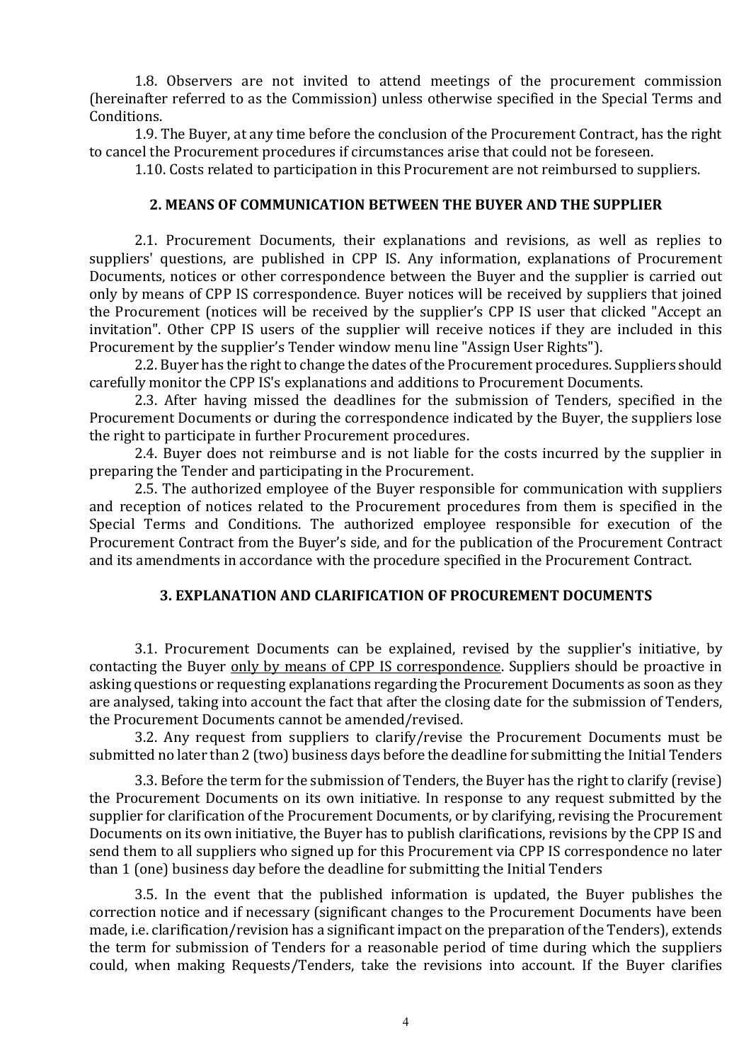1.8. Observers are not invited to attend meetings of the procurement commission (hereinafter referred to as the Commission) unless otherwise specified in the Special Terms and Conditions.

1.9. The Buyer, at any time before the conclusion of the Procurement Contract, has the right to cancel the Procurement procedures if circumstances arise that could not be foreseen.

1.10. Costs related to participation in this Procurement are not reimbursed to suppliers.

# 2. MEANS OF COMMUNICATION BETWEEN THE BUYER AND THE SUPPLIER

2.1. Procurement Documents, their explanations and revisions, as well as replies to suppliers' questions, are published in CPP IS. Any information, explanations of Procurement Documents, notices or other correspondence between the Buyer and the supplier is carried out only by means of CPP IS correspondence. Buyer notices will be received by suppliers that joined the Procurement (notices will be received by the supplier's CPP IS user that clicked "Accept an invitation". Other CPP IS users of the supplier will receive notices if they are included in this Procurement by the supplier's Tender window menu line "Assign User Rights").

2.2. Buyer has the right to change the dates of the Procurement procedures. Suppliers should carefully monitor the CPP IS's explanations and additions to Procurement Documents.

2.3. After having missed the deadlines for the submission of Tenders, specified in the Procurement Documents or during the correspondence indicated by the Buyer, the suppliers lose the right to participate in further Procurement procedures.

2.4. Buyer does not reimburse and is not liable for the costs incurred by the supplier in preparing the Tender and participating in the Procurement.

2.5. The authorized employee of the Buyer responsible for communication with suppliers and reception of notices related to the Procurement procedures from them is specified in the Special Terms and Conditions. The authorized employee responsible for execution of the Procurement Contract from the Buyer's side, and for the publication of the Procurement Contract and its amendments in accordance with the procedure specified in the Procurement Contract.

### 3. EXPLANATION AND CLARIFICATION OF PROCUREMENT DOCUMENTS

3.1. Procurement Documents can be explained, revised by the supplier's initiative, by contacting the Buyer only by means of CPP IS correspondence. Suppliers should be proactive in asking questions or requesting explanations regarding the Procurement Documents as soon as they are analysed, taking into account the fact that after the closing date for the submission of Tenders, the Procurement Documents cannot be amended/revised.

3.2. Any request from suppliers to clarify/revise the Procurement Documents must be submitted no later than 2 (two) business days before the deadline for submitting the Initial Tenders

3.3. Before the term for the submission of Tenders, the Buyer has the right to clarify (revise) the Procurement Documents on its own initiative. In response to any request submitted by the supplier for clarification of the Procurement Documents, or by clarifying, revising the Procurement Documents on its own initiative, the Buyer has to publish clarifications, revisions by the CPP IS and send them to all suppliers who signed up for this Procurement via CPP IS correspondence no later than 1 (one) business day before the deadline for submitting the Initial Tenders

3.5. In the event that the published information is updated, the Buyer publishes the correction notice and if necessary (significant changes to the Procurement Documents have been made, i.e. clarification/revision has a significant impact on the preparation of the Tenders), extends the term for submission of Tenders for a reasonable period of time during which the suppliers could, when making Requests/Tenders, take the revisions into account. If the Buyer clarifies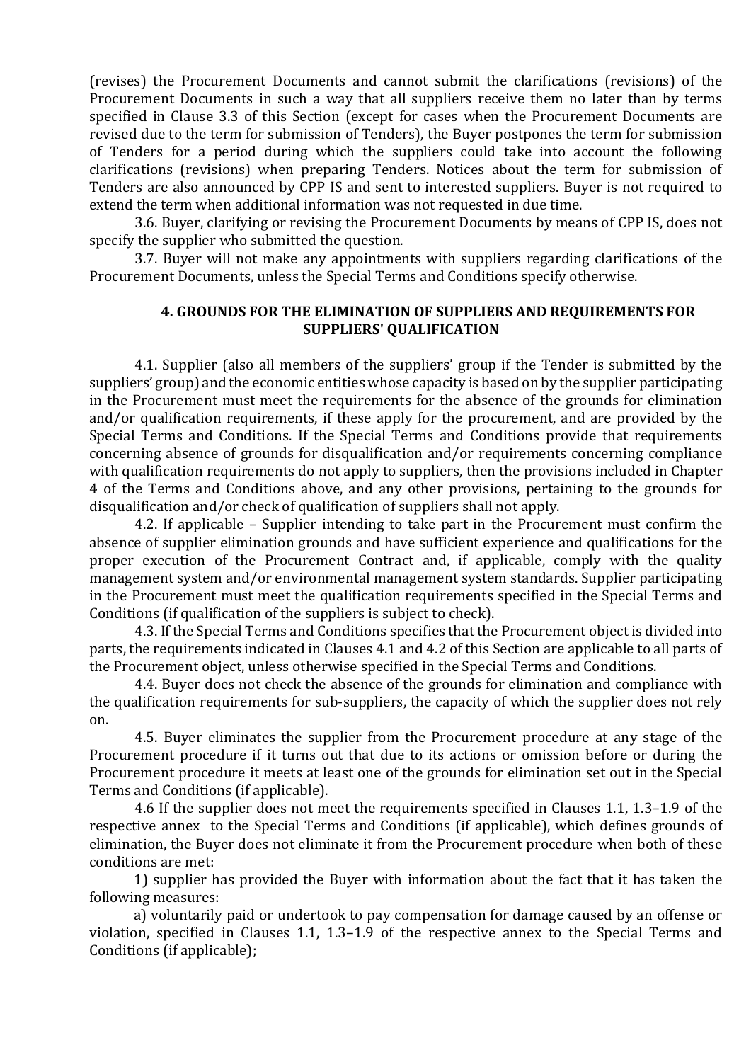(revises) the Procurement Documents and cannot submit the clarifications (revisions) of the Procurement Documents in such a way that all suppliers receive them no later than by terms specified in Clause 3.3 of this Section (except for cases when the Procurement Documents are revised due to the term for submission of Tenders), the Buyer postpones the term for submission of Tenders for a period during which the suppliers could take into account the following clarifications (revisions) when preparing Tenders. Notices about the term for submission of Tenders are also announced by CPP IS and sent to interested suppliers. Buyer is not required to extend the term when additional information was not requested in due time.

3.6. Buyer, clarifying or revising the Procurement Documents by means of CPP IS, does not specify the supplier who submitted the question.

3.7. Buyer will not make any appointments with suppliers regarding clarifications of the Procurement Documents, unless the Special Terms and Conditions specify otherwise.

# 4. GROUNDS FOR THE ELIMINATION OF SUPPLIERS AND REQUIREMENTS FOR SUPPLIERS' QUALIFICATION

4.1. Supplier (also all members of the suppliers' group if the Tender is submitted by the suppliers' group) and the economic entities whose capacity is based on by the supplier participating in the Procurement must meet the requirements for the absence of the grounds for elimination and/or qualification requirements, if these apply for the procurement, and are provided by the Special Terms and Conditions. If the Special Terms and Conditions provide that requirements concerning absence of grounds for disqualification and/or requirements concerning compliance with qualification requirements do not apply to suppliers, then the provisions included in Chapter 4 of the Terms and Conditions above, and any other provisions, pertaining to the grounds for disqualification and/or check of qualification of suppliers shall not apply.

4.2. If applicable – Supplier intending to take part in the Procurement must confirm the absence of supplier elimination grounds and have sufficient experience and qualifications for the proper execution of the Procurement Contract and, if applicable, comply with the quality management system and/or environmental management system standards. Supplier participating in the Procurement must meet the qualification requirements specified in the Special Terms and Conditions (if qualification of the suppliers is subject to check).

4.3. If the Special Terms and Conditions specifies that the Procurement object is divided into parts, the requirements indicated in Clauses 4.1 and 4.2 of this Section are applicable to all parts of the Procurement object, unless otherwise specified in the Special Terms and Conditions.

4.4. Buyer does not check the absence of the grounds for elimination and compliance with the qualification requirements for sub-suppliers, the capacity of which the supplier does not rely on.

4.5. Buyer eliminates the supplier from the Procurement procedure at any stage of the Procurement procedure if it turns out that due to its actions or omission before or during the Procurement procedure it meets at least one of the grounds for elimination set out in the Special Terms and Conditions (if applicable).

4.6 If the supplier does not meet the requirements specified in Clauses 1.1, 1.3–1.9 of the respective annex to the Special Terms and Conditions (if applicable), which defines grounds of elimination, the Buyer does not eliminate it from the Procurement procedure when both of these conditions are met:

1) supplier has provided the Buyer with information about the fact that it has taken the following measures:

a) voluntarily paid or undertook to pay compensation for damage caused by an offense or violation, specified in Clauses 1.1, 1.3–1.9 of the respective annex to the Special Terms and Conditions (if applicable);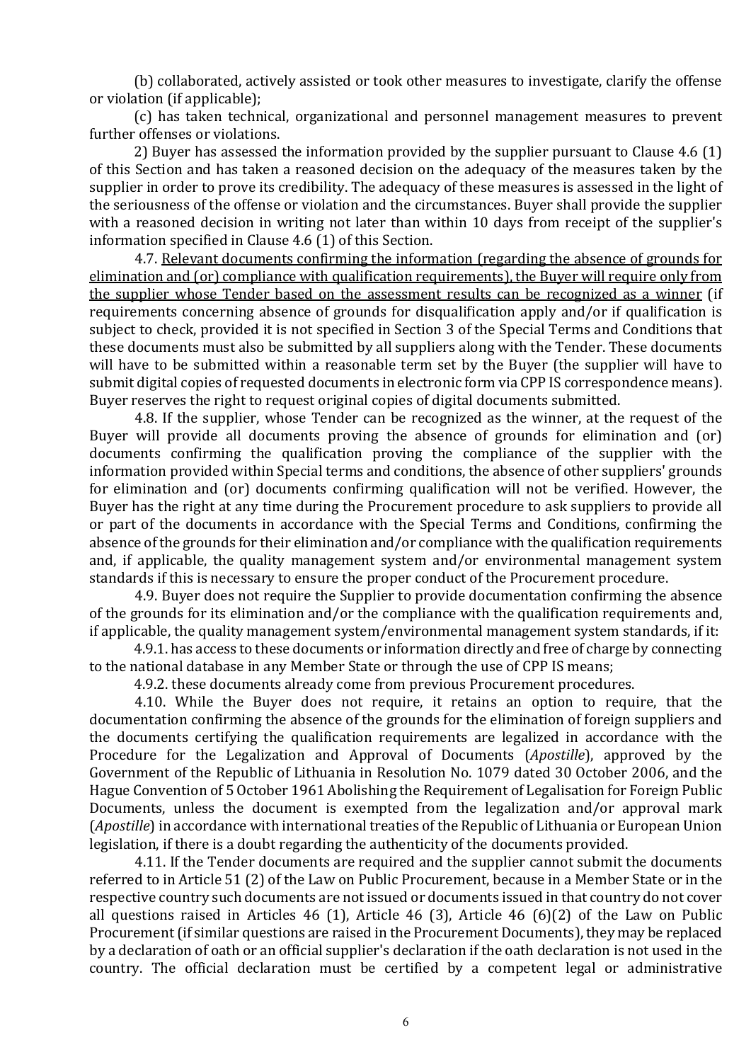(b) collaborated, actively assisted or took other measures to investigate, clarify the offense or violation (if applicable);

(c) has taken technical, organizational and personnel management measures to prevent further offenses or violations.

2) Buyer has assessed the information provided by the supplier pursuant to Clause 4.6 (1) of this Section and has taken a reasoned decision on the adequacy of the measures taken by the supplier in order to prove its credibility. The adequacy of these measures is assessed in the light of the seriousness of the offense or violation and the circumstances. Buyer shall provide the supplier with a reasoned decision in writing not later than within 10 days from receipt of the supplier's information specified in Clause 4.6 (1) of this Section.

4.7. Relevant documents confirming the information (regarding the absence of grounds for elimination and (or) compliance with qualification requirements), the Buyer will require only from the supplier whose Tender based on the assessment results can be recognized as a winner (if requirements concerning absence of grounds for disqualification apply and/or if qualification is subject to check, provided it is not specified in Section 3 of the Special Terms and Conditions that these documents must also be submitted by all suppliers along with the Tender. These documents will have to be submitted within a reasonable term set by the Buyer (the supplier will have to submit digital copies of requested documents in electronic form via CPP IS correspondence means). Buyer reserves the right to request original copies of digital documents submitted.

4.8. If the supplier, whose Tender can be recognized as the winner, at the request of the Buyer will provide all documents proving the absence of grounds for elimination and (or) documents confirming the qualification proving the compliance of the supplier with the information provided within Special terms and conditions, the absence of other suppliers' grounds for elimination and (or) documents confirming qualification will not be verified. However, the Buyer has the right at any time during the Procurement procedure to ask suppliers to provide all or part of the documents in accordance with the Special Terms and Conditions, confirming the absence of the grounds for their elimination and/or compliance with the qualification requirements and, if applicable, the quality management system and/or environmental management system standards if this is necessary to ensure the proper conduct of the Procurement procedure.

4.9. Buyer does not require the Supplier to provide documentation confirming the absence of the grounds for its elimination and/or the compliance with the qualification requirements and, if applicable, the quality management system/environmental management system standards, if it:

4.9.1. has access to these documents or information directly and free of charge by connecting to the national database in any Member State or through the use of CPP IS means;

4.9.2. these documents already come from previous Procurement procedures.

4.10. While the Buyer does not require, it retains an option to require, that the documentation confirming the absence of the grounds for the elimination of foreign suppliers and the documents certifying the qualification requirements are legalized in accordance with the Procedure for the Legalization and Approval of Documents (Apostille), approved by the Government of the Republic of Lithuania in Resolution No. 1079 dated 30 October 2006, and the Hague Convention of 5 October 1961 Abolishing the Requirement of Legalisation for Foreign Public Documents, unless the document is exempted from the legalization and/or approval mark (Apostille) in accordance with international treaties of the Republic of Lithuania or European Union legislation, if there is a doubt regarding the authenticity of the documents provided.

4.11. If the Tender documents are required and the supplier cannot submit the documents referred to in Article 51 (2) of the Law on Public Procurement, because in a Member State or in the respective country such documents are not issued or documents issued in that country do not cover all questions raised in Articles 46 (1), Article 46 (3), Article 46 (6)(2) of the Law on Public Procurement (if similar questions are raised in the Procurement Documents), they may be replaced by a declaration of oath or an official supplier's declaration if the oath declaration is not used in the country. The official declaration must be certified by a competent legal or administrative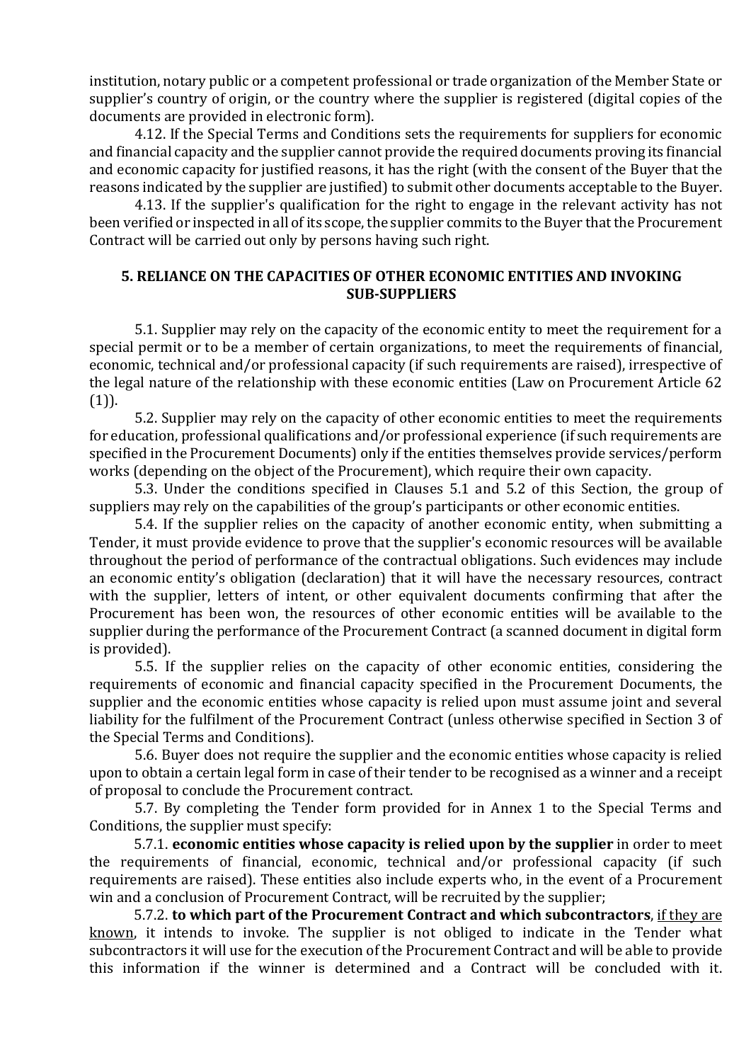institution, notary public or a competent professional or trade organization of the Member State or supplier's country of origin, or the country where the supplier is registered (digital copies of the documents are provided in electronic form).

4.12. If the Special Terms and Conditions sets the requirements for suppliers for economic and financial capacity and the supplier cannot provide the required documents proving its financial and economic capacity for justified reasons, it has the right (with the consent of the Buyer that the reasons indicated by the supplier are justified) to submit other documents acceptable to the Buyer.

4.13. If the supplier's qualification for the right to engage in the relevant activity has not been verified or inspected in all of its scope, the supplier commits to the Buyer that the Procurement Contract will be carried out only by persons having such right.

# 5. RELIANCE ON THE CAPACITIES OF OTHER ECONOMIC ENTITIES AND INVOKING SUB-SUPPLIERS

5.1. Supplier may rely on the capacity of the economic entity to meet the requirement for a special permit or to be a member of certain organizations, to meet the requirements of financial, economic, technical and/or professional capacity (if such requirements are raised), irrespective of the legal nature of the relationship with these economic entities (Law on Procurement Article 62  $(1)$ ).

5.2. Supplier may rely on the capacity of other economic entities to meet the requirements for education, professional qualifications and/or professional experience (if such requirements are specified in the Procurement Documents) only if the entities themselves provide services/perform works (depending on the object of the Procurement), which require their own capacity.

5.3. Under the conditions specified in Clauses 5.1 and 5.2 of this Section, the group of suppliers may rely on the capabilities of the group's participants or other economic entities.

5.4. If the supplier relies on the capacity of another economic entity, when submitting a Tender, it must provide evidence to prove that the supplier's economic resources will be available throughout the period of performance of the contractual obligations. Such evidences may include an economic entity's obligation (declaration) that it will have the necessary resources, contract with the supplier, letters of intent, or other equivalent documents confirming that after the Procurement has been won, the resources of other economic entities will be available to the supplier during the performance of the Procurement Contract (a scanned document in digital form is provided).

5.5. If the supplier relies on the capacity of other economic entities, considering the requirements of economic and financial capacity specified in the Procurement Documents, the supplier and the economic entities whose capacity is relied upon must assume joint and several liability for the fulfilment of the Procurement Contract (unless otherwise specified in Section 3 of the Special Terms and Conditions).

5.6. Buyer does not require the supplier and the economic entities whose capacity is relied upon to obtain a certain legal form in case of their tender to be recognised as a winner and a receipt of proposal to conclude the Procurement contract.

5.7. By completing the Tender form provided for in Annex 1 to the Special Terms and Conditions, the supplier must specify:

5.7.1. economic entities whose capacity is relied upon by the supplier in order to meet the requirements of financial, economic, technical and/or professional capacity (if such requirements are raised). These entities also include experts who, in the event of a Procurement win and a conclusion of Procurement Contract, will be recruited by the supplier;

5.7.2. to which part of the Procurement Contract and which subcontractors, if they are known, it intends to invoke. The supplier is not obliged to indicate in the Tender what subcontractors it will use for the execution of the Procurement Contract and will be able to provide this information if the winner is determined and a Contract will be concluded with it.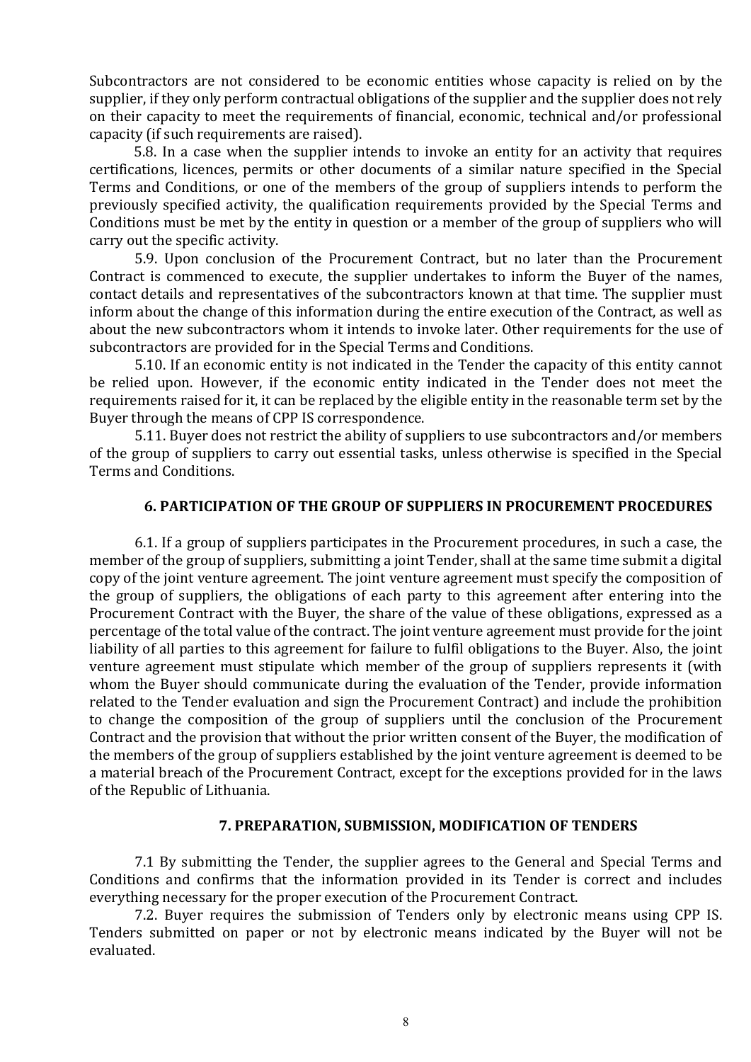Subcontractors are not considered to be economic entities whose capacity is relied on by the supplier, if they only perform contractual obligations of the supplier and the supplier does not rely on their capacity to meet the requirements of financial, economic, technical and/or professional capacity (if such requirements are raised).

5.8. In a case when the supplier intends to invoke an entity for an activity that requires certifications, licences, permits or other documents of a similar nature specified in the Special Terms and Conditions, or one of the members of the group of suppliers intends to perform the previously specified activity, the qualification requirements provided by the Special Terms and Conditions must be met by the entity in question or a member of the group of suppliers who will carry out the specific activity.

5.9. Upon conclusion of the Procurement Contract, but no later than the Procurement Contract is commenced to execute, the supplier undertakes to inform the Buyer of the names, contact details and representatives of the subcontractors known at that time. The supplier must inform about the change of this information during the entire execution of the Contract, as well as about the new subcontractors whom it intends to invoke later. Other requirements for the use of subcontractors are provided for in the Special Terms and Conditions.

5.10. If an economic entity is not indicated in the Tender the capacity of this entity cannot be relied upon. However, if the economic entity indicated in the Tender does not meet the requirements raised for it, it can be replaced by the eligible entity in the reasonable term set by the Buyer through the means of CPP IS correspondence.

5.11. Buyer does not restrict the ability of suppliers to use subcontractors and/or members of the group of suppliers to carry out essential tasks, unless otherwise is specified in the Special Terms and Conditions.

### 6. PARTICIPATION OF THE GROUP OF SUPPLIERS IN PROCUREMENT PROCEDURES

6.1. If a group of suppliers participates in the Procurement procedures, in such a case, the member of the group of suppliers, submitting a joint Tender, shall at the same time submit a digital copy of the joint venture agreement. The joint venture agreement must specify the composition of the group of suppliers, the obligations of each party to this agreement after entering into the Procurement Contract with the Buyer, the share of the value of these obligations, expressed as a percentage of the total value of the contract. The joint venture agreement must provide for the joint liability of all parties to this agreement for failure to fulfil obligations to the Buyer. Also, the joint venture agreement must stipulate which member of the group of suppliers represents it (with whom the Buyer should communicate during the evaluation of the Tender, provide information related to the Tender evaluation and sign the Procurement Contract) and include the prohibition to change the composition of the group of suppliers until the conclusion of the Procurement Contract and the provision that without the prior written consent of the Buyer, the modification of the members of the group of suppliers established by the joint venture agreement is deemed to be a material breach of the Procurement Contract, except for the exceptions provided for in the laws of the Republic of Lithuania.

#### 7. PREPARATION, SUBMISSION, MODIFICATION OF TENDERS

7.1 By submitting the Tender, the supplier agrees to the General and Special Terms and Conditions and confirms that the information provided in its Tender is correct and includes everything necessary for the proper execution of the Procurement Contract.

7.2. Buyer requires the submission of Tenders only by electronic means using CPP IS. Tenders submitted on paper or not by electronic means indicated by the Buyer will not be evaluated.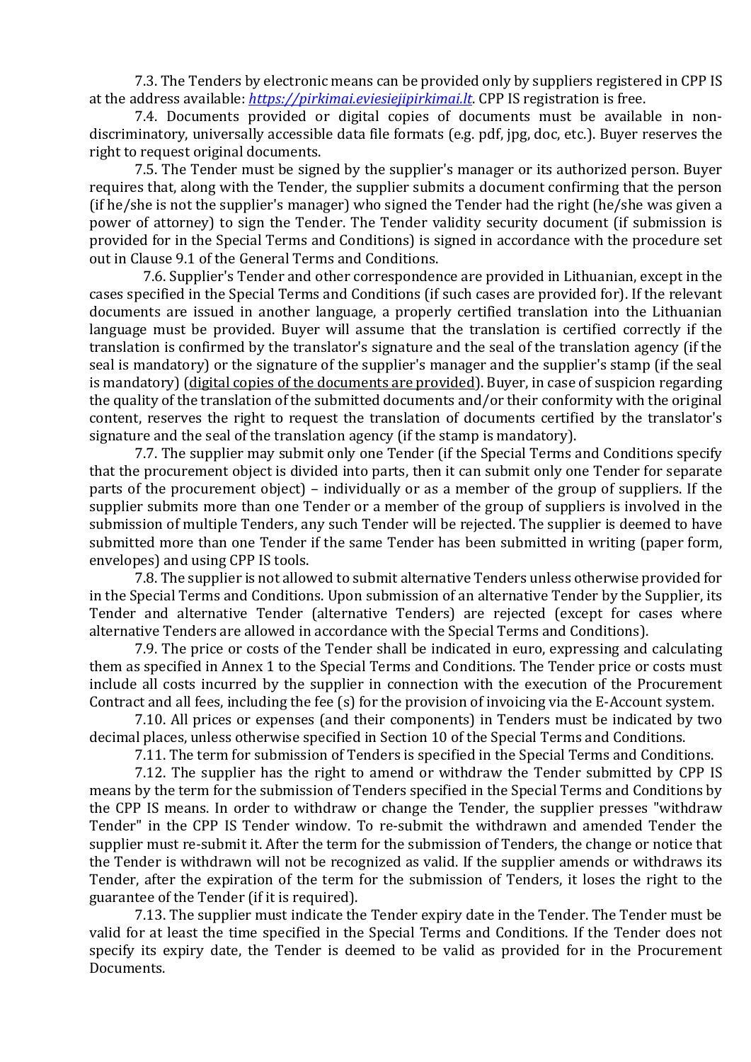7.3. The Tenders by electronic means can be provided only by suppliers registered in CPP IS at the address available: https://pirkimai.eviesiejipirkimai.lt. CPP IS registration is free.

7.4. Documents provided or digital copies of documents must be available in nondiscriminatory, universally accessible data file formats (e.g. pdf, jpg, doc, etc.). Buyer reserves the right to request original documents.

7.5. The Tender must be signed by the supplier's manager or its authorized person. Buyer requires that, along with the Tender, the supplier submits a document confirming that the person (if he/she is not the supplier's manager) who signed the Tender had the right (he/she was given a power of attorney) to sign the Tender. The Tender validity security document (if submission is provided for in the Special Terms and Conditions) is signed in accordance with the procedure set out in Clause 9.1 of the General Terms and Conditions.

7.6. Supplier's Tender and other correspondence are provided in Lithuanian, except in the cases specified in the Special Terms and Conditions (if such cases are provided for). If the relevant documents are issued in another language, a properly certified translation into the Lithuanian language must be provided. Buyer will assume that the translation is certified correctly if the translation is confirmed by the translator's signature and the seal of the translation agency (if the seal is mandatory) or the signature of the supplier's manager and the supplier's stamp (if the seal is mandatory) (digital copies of the documents are provided). Buyer, in case of suspicion regarding the quality of the translation of the submitted documents and/or their conformity with the original content, reserves the right to request the translation of documents certified by the translator's signature and the seal of the translation agency (if the stamp is mandatory).

7.7. The supplier may submit only one Tender (if the Special Terms and Conditions specify that the procurement object is divided into parts, then it can submit only one Tender for separate parts of the procurement object) – individually or as a member of the group of suppliers. If the supplier submits more than one Tender or a member of the group of suppliers is involved in the submission of multiple Tenders, any such Tender will be rejected. The supplier is deemed to have submitted more than one Tender if the same Tender has been submitted in writing (paper form, envelopes) and using CPP IS tools.

7.8. The supplier is not allowed to submit alternative Tenders unless otherwise provided for in the Special Terms and Conditions. Upon submission of an alternative Tender by the Supplier, its Tender and alternative Tender (alternative Tenders) are rejected (except for cases where alternative Tenders are allowed in accordance with the Special Terms and Conditions).

7.9. The price or costs of the Tender shall be indicated in euro, expressing and calculating them as specified in Annex 1 to the Special Terms and Conditions. The Tender price or costs must include all costs incurred by the supplier in connection with the execution of the Procurement Contract and all fees, including the fee (s) for the provision of invoicing via the E-Account system.

7.10. All prices or expenses (and their components) in Tenders must be indicated by two decimal places, unless otherwise specified in Section 10 of the Special Terms and Conditions.

7.11. The term for submission of Tenders is specified in the Special Terms and Conditions.

7.12. The supplier has the right to amend or withdraw the Tender submitted by CPP IS means by the term for the submission of Tenders specified in the Special Terms and Conditions by the CPP IS means. In order to withdraw or change the Tender, the supplier presses "withdraw Tender" in the CPP IS Tender window. To re-submit the withdrawn and amended Tender the supplier must re-submit it. After the term for the submission of Tenders, the change or notice that the Tender is withdrawn will not be recognized as valid. If the supplier amends or withdraws its Tender, after the expiration of the term for the submission of Tenders, it loses the right to the guarantee of the Tender (if it is required).

7.13. The supplier must indicate the Tender expiry date in the Tender. The Tender must be valid for at least the time specified in the Special Terms and Conditions. If the Tender does not specify its expiry date, the Tender is deemed to be valid as provided for in the Procurement Documents.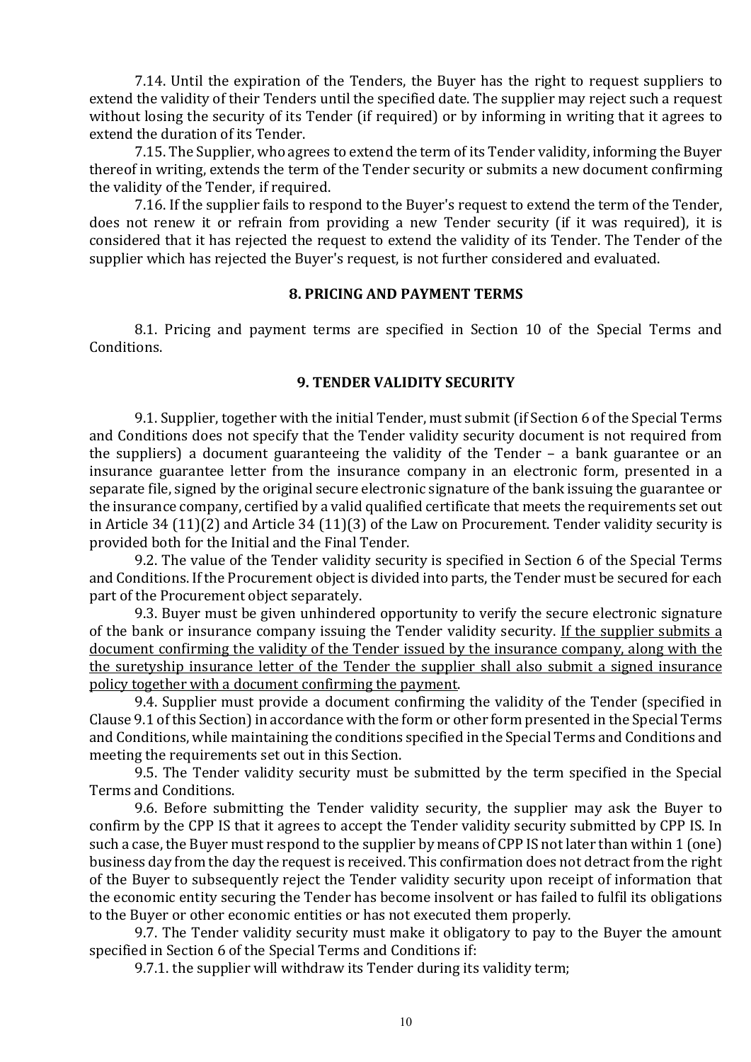7.14. Until the expiration of the Tenders, the Buyer has the right to request suppliers to extend the validity of their Tenders until the specified date. The supplier may reject such a request without losing the security of its Tender (if required) or by informing in writing that it agrees to extend the duration of its Tender.

7.15. The Supplier, who agrees to extend the term of its Tender validity, informing the Buyer thereof in writing, extends the term of the Tender security or submits a new document confirming the validity of the Tender, if required.

7.16. If the supplier fails to respond to the Buyer's request to extend the term of the Tender, does not renew it or refrain from providing a new Tender security (if it was required), it is considered that it has rejected the request to extend the validity of its Tender. The Tender of the supplier which has rejected the Buyer's request, is not further considered and evaluated.

#### 8. PRICING AND PAYMENT TERMS

8.1. Pricing and payment terms are specified in Section 10 of the Special Terms and Conditions.

#### 9. TENDER VALIDITY SECURITY

9.1. Supplier, together with the initial Tender, must submit (if Section 6 of the Special Terms and Conditions does not specify that the Tender validity security document is not required from the suppliers) a document guaranteeing the validity of the Tender – a bank guarantee or an insurance guarantee letter from the insurance company in an electronic form, presented in a separate file, signed by the original secure electronic signature of the bank issuing the guarantee or the insurance company, certified by a valid qualified certificate that meets the requirements set out in Article 34 (11)(2) and Article 34 (11)(3) of the Law on Procurement. Tender validity security is provided both for the Initial and the Final Tender.

9.2. The value of the Tender validity security is specified in Section 6 of the Special Terms and Conditions. If the Procurement object is divided into parts, the Tender must be secured for each part of the Procurement object separately.

9.3. Buyer must be given unhindered opportunity to verify the secure electronic signature of the bank or insurance company issuing the Tender validity security. If the supplier submits a document confirming the validity of the Tender issued by the insurance company, along with the the suretyship insurance letter of the Tender the supplier shall also submit a signed insurance policy together with a document confirming the payment.

9.4. Supplier must provide a document confirming the validity of the Tender (specified in Clause 9.1 of this Section) in accordance with the form or other form presented in the Special Terms and Conditions, while maintaining the conditions specified in the Special Terms and Conditions and meeting the requirements set out in this Section.

9.5. The Tender validity security must be submitted by the term specified in the Special Terms and Conditions.

9.6. Before submitting the Tender validity security, the supplier may ask the Buyer to confirm by the CPP IS that it agrees to accept the Tender validity security submitted by CPP IS. In such a case, the Buyer must respond to the supplier by means of CPP IS not later than within 1 (one) business day from the day the request is received. This confirmation does not detract from the right of the Buyer to subsequently reject the Tender validity security upon receipt of information that the economic entity securing the Tender has become insolvent or has failed to fulfil its obligations to the Buyer or other economic entities or has not executed them properly.

9.7. The Tender validity security must make it obligatory to pay to the Buyer the amount specified in Section 6 of the Special Terms and Conditions if:

9.7.1. the supplier will withdraw its Tender during its validity term;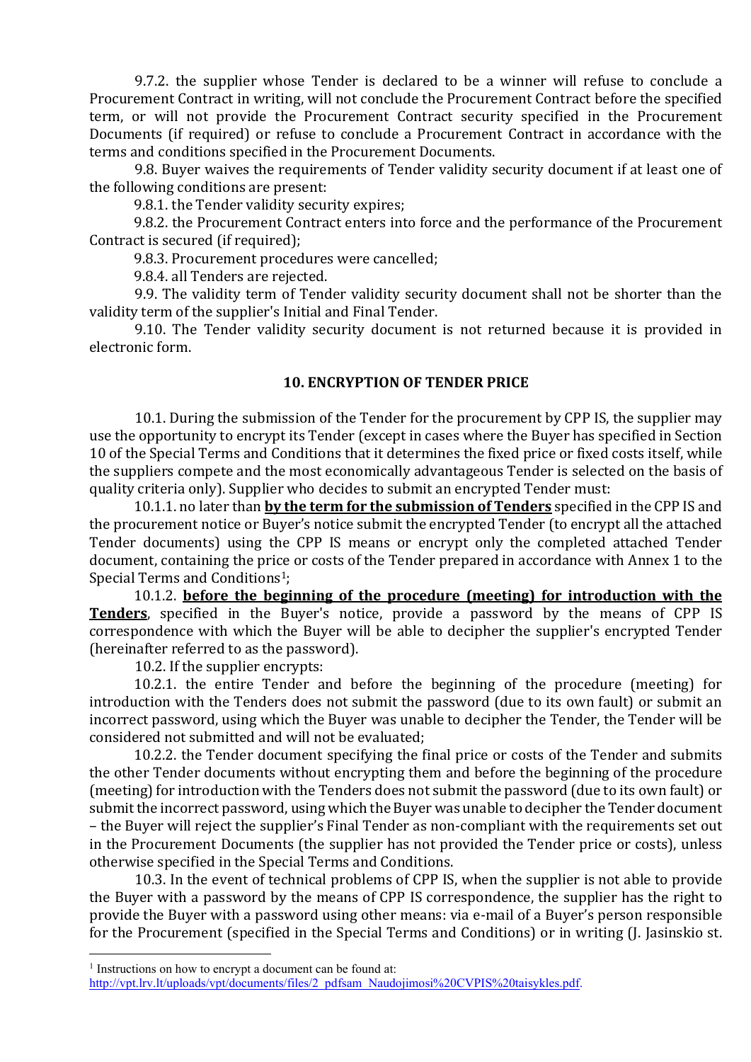9.7.2. the supplier whose Tender is declared to be a winner will refuse to conclude a Procurement Contract in writing, will not conclude the Procurement Contract before the specified term, or will not provide the Procurement Contract security specified in the Procurement Documents (if required) or refuse to conclude a Procurement Contract in accordance with the terms and conditions specified in the Procurement Documents.

9.8. Buyer waives the requirements of Tender validity security document if at least one of the following conditions are present:

9.8.1. the Tender validity security expires;

9.8.2. the Procurement Contract enters into force and the performance of the Procurement Contract is secured (if required);

9.8.3. Procurement procedures were cancelled;

9.8.4. all Tenders are rejected.

9.9. The validity term of Tender validity security document shall not be shorter than the validity term of the supplier's Initial and Final Tender.

9.10. The Tender validity security document is not returned because it is provided in electronic form.

#### 10. ENCRYPTION OF TENDER PRICE

10.1. During the submission of the Tender for the procurement by CPP IS, the supplier may use the opportunity to encrypt its Tender (except in cases where the Buyer has specified in Section 10 of the Special Terms and Conditions that it determines the fixed price or fixed costs itself, while the suppliers compete and the most economically advantageous Tender is selected on the basis of quality criteria only). Supplier who decides to submit an encrypted Tender must:

10.1.1. no later than by the term for the submission of Tenders specified in the CPP IS and the procurement notice or Buyer's notice submit the encrypted Tender (to encrypt all the attached Tender documents) using the CPP IS means or encrypt only the completed attached Tender document, containing the price or costs of the Tender prepared in accordance with Annex 1 to the Special Terms and Conditions<sup>1</sup>;

10.1.2. before the beginning of the procedure (meeting) for introduction with the Tenders, specified in the Buyer's notice, provide a password by the means of CPP IS correspondence with which the Buyer will be able to decipher the supplier's encrypted Tender (hereinafter referred to as the password).

10.2. If the supplier encrypts:

10.2.1. the entire Tender and before the beginning of the procedure (meeting) for introduction with the Tenders does not submit the password (due to its own fault) or submit an incorrect password, using which the Buyer was unable to decipher the Tender, the Tender will be considered not submitted and will not be evaluated;

10.2.2. the Tender document specifying the final price or costs of the Tender and submits the other Tender documents without encrypting them and before the beginning of the procedure (meeting) for introduction with the Tenders does not submit the password (due to its own fault) or submit the incorrect password, using which the Buyer was unable to decipher the Tender document – the Buyer will reject the supplier's Final Tender as non-compliant with the requirements set out in the Procurement Documents (the supplier has not provided the Tender price or costs), unless otherwise specified in the Special Terms and Conditions.

10.3. In the event of technical problems of CPP IS, when the supplier is not able to provide the Buyer with a password by the means of CPP IS correspondence, the supplier has the right to provide the Buyer with a password using other means: via e-mail of a Buyer's person responsible for the Procurement (specified in the Special Terms and Conditions) or in writing (J. Jasinskio st.

<sup>&</sup>lt;sup>1</sup> Instructions on how to encrypt a document can be found at:

http://vpt.lrv.lt/uploads/vpt/documents/files/2\_pdfsam\_Naudojimosi%20CVPIS%20taisykles.pdf.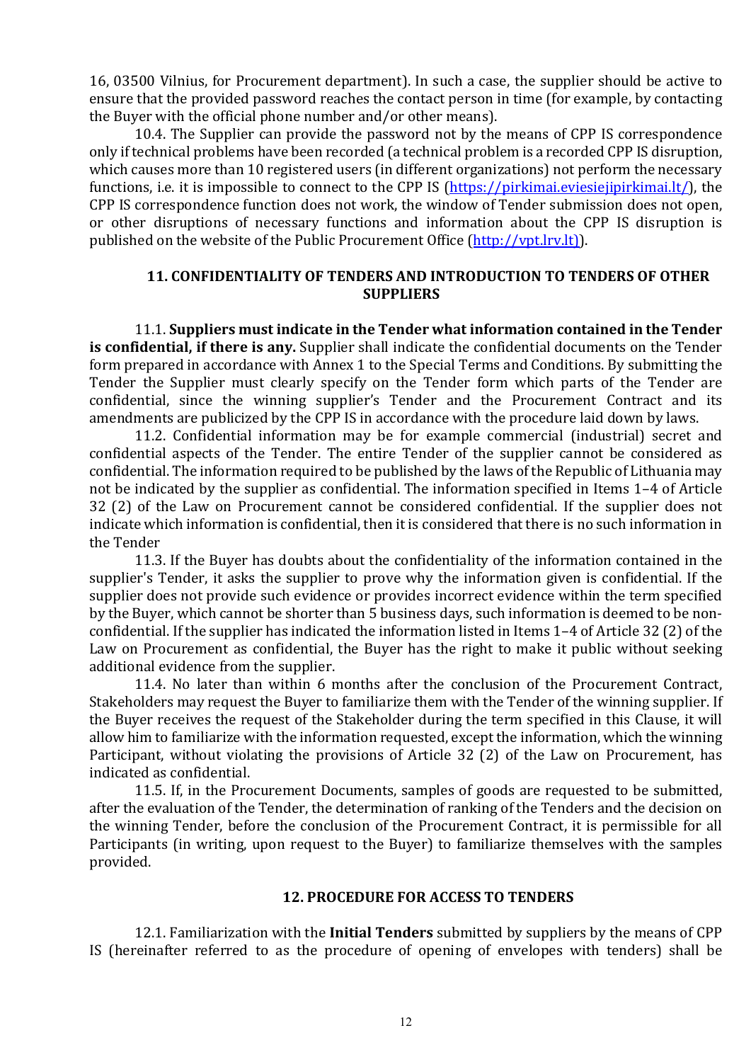16, 03500 Vilnius, for Procurement department). In such a case, the supplier should be active to ensure that the provided password reaches the contact person in time (for example, by contacting the Buyer with the official phone number and/or other means).

10.4. The Supplier can provide the password not by the means of CPP IS correspondence only if technical problems have been recorded (a technical problem is a recorded CPP IS disruption, which causes more than 10 registered users (in different organizations) not perform the necessary functions, i.e. it is impossible to connect to the CPP IS (https://pirkimai.eviesiejipirkimai.lt/), the CPP IS correspondence function does not work, the window of Tender submission does not open, or other disruptions of necessary functions and information about the CPP IS disruption is published on the website of the Public Procurement Office (http://vpt.lrv.lt)).

# 11. CONFIDENTIALITY OF TENDERS AND INTRODUCTION TO TENDERS OF OTHER SUPPLIERS

11.1. Suppliers must indicate in the Tender what information contained in the Tender is confidential, if there is any. Supplier shall indicate the confidential documents on the Tender form prepared in accordance with Annex 1 to the Special Terms and Conditions. By submitting the Tender the Supplier must clearly specify on the Tender form which parts of the Tender are confidential, since the winning supplier's Tender and the Procurement Contract and its amendments are publicized by the CPP IS in accordance with the procedure laid down by laws.

11.2. Confidential information may be for example commercial (industrial) secret and confidential aspects of the Tender. The entire Tender of the supplier cannot be considered as confidential. The information required to be published by the laws of the Republic of Lithuania may not be indicated by the supplier as confidential. The information specified in Items 1–4 of Article 32 (2) of the Law on Procurement cannot be considered confidential. If the supplier does not indicate which information is confidential, then it is considered that there is no such information in the Tender

11.3. If the Buyer has doubts about the confidentiality of the information contained in the supplier's Tender, it asks the supplier to prove why the information given is confidential. If the supplier does not provide such evidence or provides incorrect evidence within the term specified by the Buyer, which cannot be shorter than 5 business days, such information is deemed to be nonconfidential. If the supplier has indicated the information listed in Items 1–4 of Article 32 (2) of the Law on Procurement as confidential, the Buyer has the right to make it public without seeking additional evidence from the supplier.

11.4. No later than within 6 months after the conclusion of the Procurement Contract, Stakeholders may request the Buyer to familiarize them with the Tender of the winning supplier. If the Buyer receives the request of the Stakeholder during the term specified in this Clause, it will allow him to familiarize with the information requested, except the information, which the winning Participant, without violating the provisions of Article 32 (2) of the Law on Procurement, has indicated as confidential.

11.5. If, in the Procurement Documents, samples of goods are requested to be submitted, after the evaluation of the Tender, the determination of ranking of the Tenders and the decision on the winning Tender, before the conclusion of the Procurement Contract, it is permissible for all Participants (in writing, upon request to the Buyer) to familiarize themselves with the samples provided.

#### 12. PROCEDURE FOR ACCESS TO TENDERS

12.1. Familiarization with the **Initial Tenders** submitted by suppliers by the means of CPP IS (hereinafter referred to as the procedure of opening of envelopes with tenders) shall be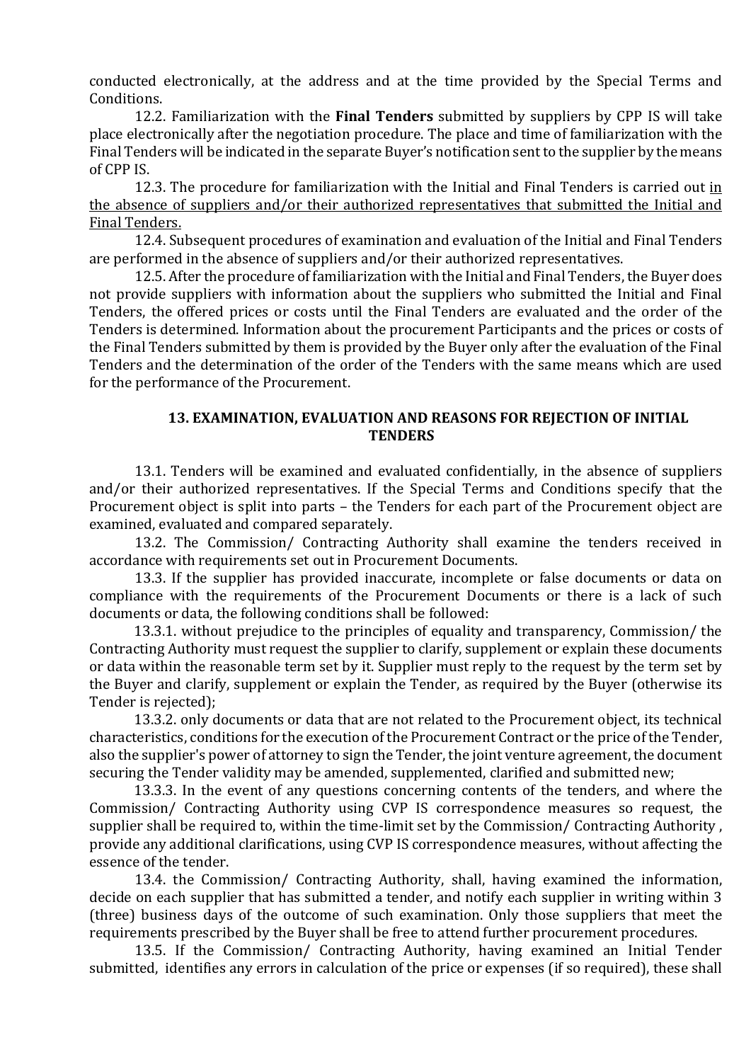conducted electronically, at the address and at the time provided by the Special Terms and Conditions.

12.2. Familiarization with the **Final Tenders** submitted by suppliers by CPP IS will take place electronically after the negotiation procedure. The place and time of familiarization with the Final Tenders will be indicated in the separate Buyer's notification sent to the supplier by the means of CPP IS.

12.3. The procedure for familiarization with the Initial and Final Tenders is carried out in the absence of suppliers and/or their authorized representatives that submitted the Initial and Final Tenders.

12.4. Subsequent procedures of examination and evaluation of the Initial and Final Tenders are performed in the absence of suppliers and/or their authorized representatives.

12.5. After the procedure of familiarization with the Initial and Final Tenders, the Buyer does not provide suppliers with information about the suppliers who submitted the Initial and Final Tenders, the offered prices or costs until the Final Tenders are evaluated and the order of the Tenders is determined. Information about the procurement Participants and the prices or costs of the Final Tenders submitted by them is provided by the Buyer only after the evaluation of the Final Tenders and the determination of the order of the Tenders with the same means which are used for the performance of the Procurement.

# 13. EXAMINATION, EVALUATION AND REASONS FOR REJECTION OF INITIAL **TENDERS**

13.1. Tenders will be examined and evaluated confidentially, in the absence of suppliers and/or their authorized representatives. If the Special Terms and Conditions specify that the Procurement object is split into parts – the Tenders for each part of the Procurement object are examined, evaluated and compared separately.

13.2. The Commission/ Contracting Authority shall examine the tenders received in accordance with requirements set out in Procurement Documents.

13.3. If the supplier has provided inaccurate, incomplete or false documents or data on compliance with the requirements of the Procurement Documents or there is a lack of such documents or data, the following conditions shall be followed:

13.3.1. without prejudice to the principles of equality and transparency, Commission/ the Contracting Authority must request the supplier to clarify, supplement or explain these documents or data within the reasonable term set by it. Supplier must reply to the request by the term set by the Buyer and clarify, supplement or explain the Tender, as required by the Buyer (otherwise its Tender is rejected);

13.3.2. only documents or data that are not related to the Procurement object, its technical characteristics, conditions for the execution of the Procurement Contract or the price of the Tender, also the supplier's power of attorney to sign the Tender, the joint venture agreement, the document securing the Tender validity may be amended, supplemented, clarified and submitted new;

13.3.3. In the event of any questions concerning contents of the tenders, and where the Commission/ Contracting Authority using CVP IS correspondence measures so request, the supplier shall be required to, within the time-limit set by the Commission/ Contracting Authority , provide any additional clarifications, using CVP IS correspondence measures, without affecting the essence of the tender.

13.4. the Commission/ Contracting Authority, shall, having examined the information, decide on each supplier that has submitted a tender, and notify each supplier in writing within 3 (three) business days of the outcome of such examination. Only those suppliers that meet the requirements prescribed by the Buyer shall be free to attend further procurement procedures.

13.5. If the Commission/ Contracting Authority, having examined an Initial Tender submitted, identifies any errors in calculation of the price or expenses (if so required), these shall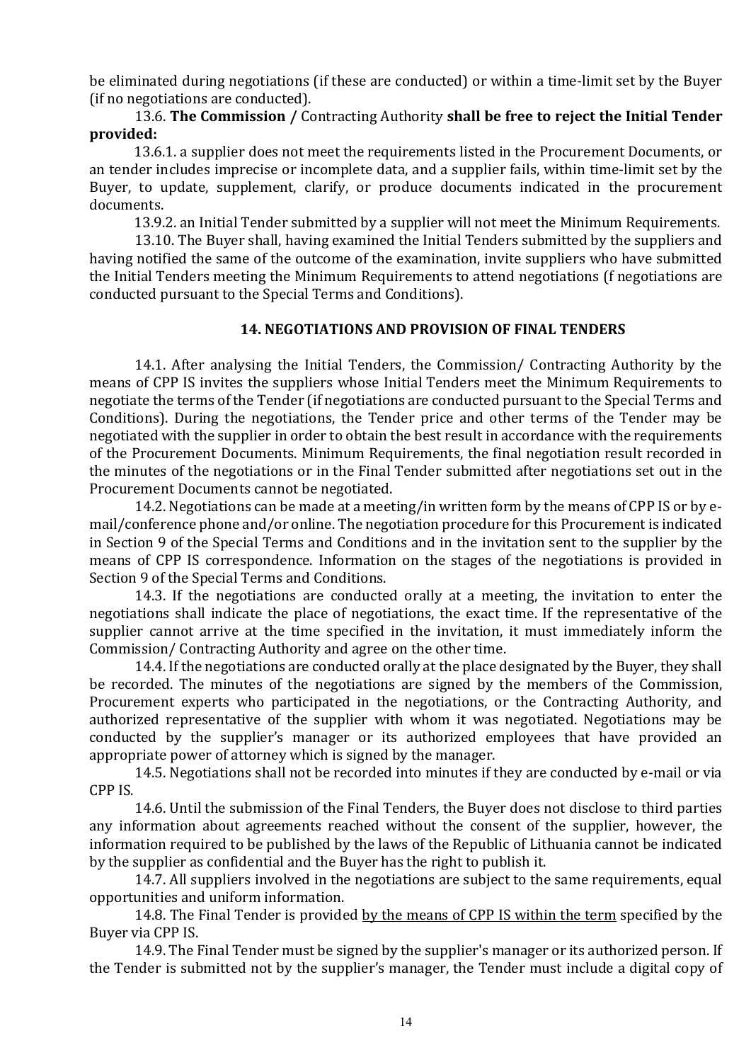be eliminated during negotiations (if these are conducted) or within a time-limit set by the Buyer (if no negotiations are conducted).

13.6. The Commission / Contracting Authority shall be free to reject the Initial Tender provided:

13.6.1. a supplier does not meet the requirements listed in the Procurement Documents, or an tender includes imprecise or incomplete data, and a supplier fails, within time-limit set by the Buyer, to update, supplement, clarify, or produce documents indicated in the procurement documents.

13.9.2. an Initial Tender submitted by a supplier will not meet the Minimum Requirements.

13.10. The Buyer shall, having examined the Initial Tenders submitted by the suppliers and having notified the same of the outcome of the examination, invite suppliers who have submitted the Initial Tenders meeting the Minimum Requirements to attend negotiations (f negotiations are conducted pursuant to the Special Terms and Conditions).

### 14. NEGOTIATIONS AND PROVISION OF FINAL TENDERS

14.1. After analysing the Initial Tenders, the Commission/ Contracting Authority by the means of CPP IS invites the suppliers whose Initial Tenders meet the Minimum Requirements to negotiate the terms of the Tender (if negotiations are conducted pursuant to the Special Terms and Conditions). During the negotiations, the Tender price and other terms of the Tender may be negotiated with the supplier in order to obtain the best result in accordance with the requirements of the Procurement Documents. Minimum Requirements, the final negotiation result recorded in the minutes of the negotiations or in the Final Tender submitted after negotiations set out in the Procurement Documents cannot be negotiated.

14.2. Negotiations can be made at a meeting/in written form by the means of CPP IS or by email/conference phone and/or online. The negotiation procedure for this Procurement is indicated in Section 9 of the Special Terms and Conditions and in the invitation sent to the supplier by the means of CPP IS correspondence. Information on the stages of the negotiations is provided in Section 9 of the Special Terms and Conditions.

14.3. If the negotiations are conducted orally at a meeting, the invitation to enter the negotiations shall indicate the place of negotiations, the exact time. If the representative of the supplier cannot arrive at the time specified in the invitation, it must immediately inform the Commission/ Contracting Authority and agree on the other time.

14.4. If the negotiations are conducted orally at the place designated by the Buyer, they shall be recorded. The minutes of the negotiations are signed by the members of the Commission, Procurement experts who participated in the negotiations, or the Contracting Authority, and authorized representative of the supplier with whom it was negotiated. Negotiations may be conducted by the supplier's manager or its authorized employees that have provided an appropriate power of attorney which is signed by the manager.

14.5. Negotiations shall not be recorded into minutes if they are conducted by e-mail or via CPP IS.

14.6. Until the submission of the Final Tenders, the Buyer does not disclose to third parties any information about agreements reached without the consent of the supplier, however, the information required to be published by the laws of the Republic of Lithuania cannot be indicated by the supplier as confidential and the Buyer has the right to publish it.

14.7. All suppliers involved in the negotiations are subject to the same requirements, equal opportunities and uniform information.

14.8. The Final Tender is provided by the means of CPP IS within the term specified by the Buyer via CPP IS.

14.9. The Final Tender must be signed by the supplier's manager or its authorized person. If the Tender is submitted not by the supplier's manager, the Tender must include a digital copy of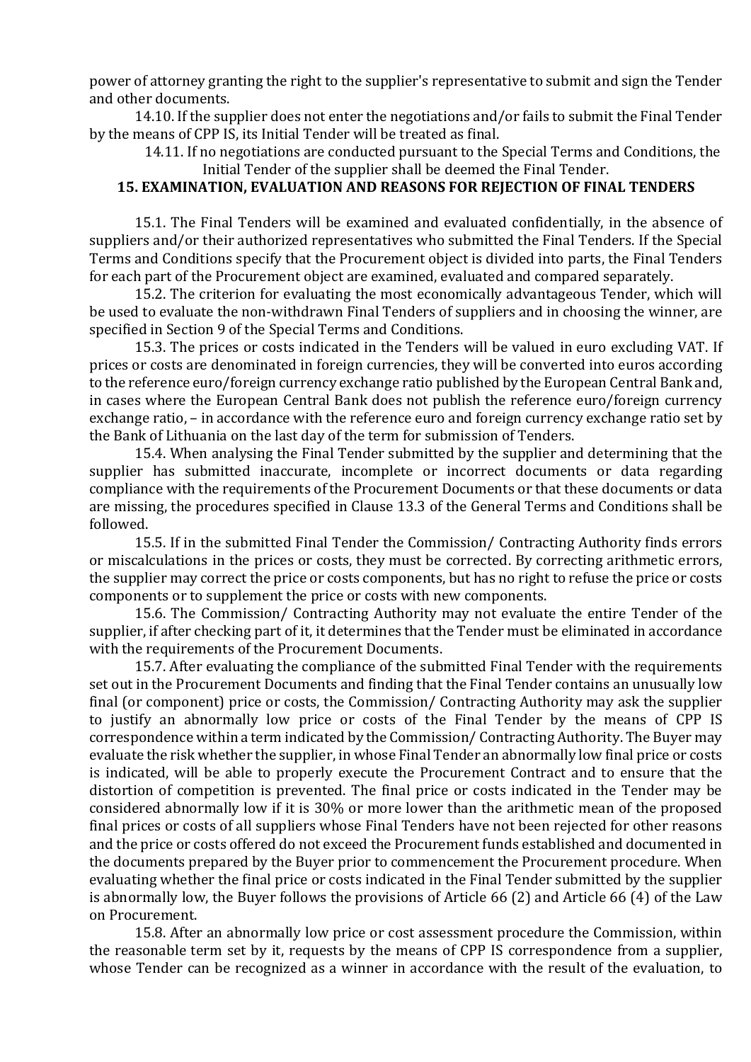power of attorney granting the right to the supplier's representative to submit and sign the Tender and other documents.

14.10. If the supplier does not enter the negotiations and/or fails to submit the Final Tender by the means of CPP IS, its Initial Tender will be treated as final.

14.11. If no negotiations are conducted pursuant to the Special Terms and Conditions, the Initial Tender of the supplier shall be deemed the Final Tender.

# 15. EXAMINATION, EVALUATION AND REASONS FOR REIECTION OF FINAL TENDERS

15.1. The Final Tenders will be examined and evaluated confidentially, in the absence of suppliers and/or their authorized representatives who submitted the Final Tenders. If the Special Terms and Conditions specify that the Procurement object is divided into parts, the Final Tenders for each part of the Procurement object are examined, evaluated and compared separately.

15.2. The criterion for evaluating the most economically advantageous Tender, which will be used to evaluate the non-withdrawn Final Tenders of suppliers and in choosing the winner, are specified in Section 9 of the Special Terms and Conditions.

15.3. The prices or costs indicated in the Tenders will be valued in euro excluding VAT. If prices or costs are denominated in foreign currencies, they will be converted into euros according to the reference euro/foreign currency exchange ratio published by the European Central Bank and, in cases where the European Central Bank does not publish the reference euro/foreign currency exchange ratio, – in accordance with the reference euro and foreign currency exchange ratio set by the Bank of Lithuania on the last day of the term for submission of Tenders.

15.4. When analysing the Final Tender submitted by the supplier and determining that the supplier has submitted inaccurate, incomplete or incorrect documents or data regarding compliance with the requirements of the Procurement Documents or that these documents or data are missing, the procedures specified in Clause 13.3 of the General Terms and Conditions shall be followed.

15.5. If in the submitted Final Tender the Commission/ Contracting Authority finds errors or miscalculations in the prices or costs, they must be corrected. By correcting arithmetic errors, the supplier may correct the price or costs components, but has no right to refuse the price or costs components or to supplement the price or costs with new components.

15.6. The Commission/ Contracting Authority may not evaluate the entire Tender of the supplier, if after checking part of it, it determines that the Tender must be eliminated in accordance with the requirements of the Procurement Documents.

15.7. After evaluating the compliance of the submitted Final Tender with the requirements set out in the Procurement Documents and finding that the Final Tender contains an unusually low final (or component) price or costs, the Commission/ Contracting Authority may ask the supplier to justify an abnormally low price or costs of the Final Tender by the means of CPP IS correspondence within a term indicated by the Commission/ Contracting Authority. The Buyer may evaluate the risk whether the supplier, in whose Final Tender an abnormally low final price or costs is indicated, will be able to properly execute the Procurement Contract and to ensure that the distortion of competition is prevented. The final price or costs indicated in the Tender may be considered abnormally low if it is 30% or more lower than the arithmetic mean of the proposed final prices or costs of all suppliers whose Final Tenders have not been rejected for other reasons and the price or costs offered do not exceed the Procurement funds established and documented in the documents prepared by the Buyer prior to commencement the Procurement procedure. When evaluating whether the final price or costs indicated in the Final Tender submitted by the supplier is abnormally low, the Buyer follows the provisions of Article 66 (2) and Article 66 (4) of the Law on Procurement.

15.8. After an abnormally low price or cost assessment procedure the Commission, within the reasonable term set by it, requests by the means of CPP IS correspondence from a supplier, whose Tender can be recognized as a winner in accordance with the result of the evaluation, to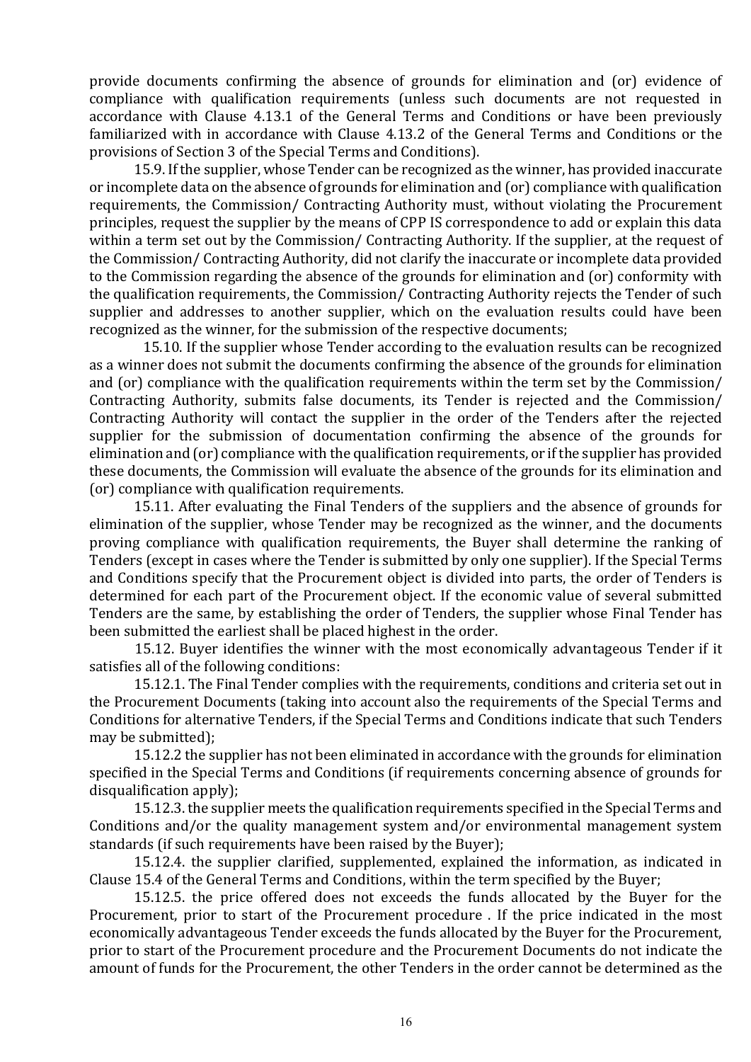provide documents confirming the absence of grounds for elimination and (or) evidence of compliance with qualification requirements (unless such documents are not requested in accordance with Clause 4.13.1 of the General Terms and Conditions or have been previously familiarized with in accordance with Clause 4.13.2 of the General Terms and Conditions or the provisions of Section 3 of the Special Terms and Conditions).

15.9. If the supplier, whose Tender can be recognized as the winner, has provided inaccurate or incomplete data on the absence of grounds for elimination and (or) compliance with qualification requirements, the Commission/ Contracting Authority must, without violating the Procurement principles, request the supplier by the means of CPP IS correspondence to add or explain this data within a term set out by the Commission/ Contracting Authority. If the supplier, at the request of the Commission/ Contracting Authority, did not clarify the inaccurate or incomplete data provided to the Commission regarding the absence of the grounds for elimination and (or) conformity with the qualification requirements, the Commission/ Contracting Authority rejects the Tender of such supplier and addresses to another supplier, which on the evaluation results could have been recognized as the winner, for the submission of the respective documents;

15.10. If the supplier whose Tender according to the evaluation results can be recognized as a winner does not submit the documents confirming the absence of the grounds for elimination and (or) compliance with the qualification requirements within the term set by the Commission/ Contracting Authority, submits false documents, its Tender is rejected and the Commission/ Contracting Authority will contact the supplier in the order of the Tenders after the rejected supplier for the submission of documentation confirming the absence of the grounds for elimination and (or) compliance with the qualification requirements, or if the supplier has provided these documents, the Commission will evaluate the absence of the grounds for its elimination and (or) compliance with qualification requirements.

15.11. After evaluating the Final Tenders of the suppliers and the absence of grounds for elimination of the supplier, whose Tender may be recognized as the winner, and the documents proving compliance with qualification requirements, the Buyer shall determine the ranking of Tenders (except in cases where the Tender is submitted by only one supplier). If the Special Terms and Conditions specify that the Procurement object is divided into parts, the order of Tenders is determined for each part of the Procurement object. If the economic value of several submitted Tenders are the same, by establishing the order of Tenders, the supplier whose Final Tender has been submitted the earliest shall be placed highest in the order.

15.12. Buyer identifies the winner with the most economically advantageous Tender if it satisfies all of the following conditions:

15.12.1. The Final Tender complies with the requirements, conditions and criteria set out in the Procurement Documents (taking into account also the requirements of the Special Terms and Conditions for alternative Tenders, if the Special Terms and Conditions indicate that such Tenders may be submitted);

15.12.2 the supplier has not been eliminated in accordance with the grounds for elimination specified in the Special Terms and Conditions (if requirements concerning absence of grounds for disqualification apply);

15.12.3. the supplier meets the qualification requirements specified in the Special Terms and Conditions and/or the quality management system and/or environmental management system standards (if such requirements have been raised by the Buyer);

15.12.4. the supplier clarified, supplemented, explained the information, as indicated in Clause 15.4 of the General Terms and Conditions, within the term specified by the Buyer;

15.12.5. the price offered does not exceeds the funds allocated by the Buyer for the Procurement, prior to start of the Procurement procedure . If the price indicated in the most economically advantageous Tender exceeds the funds allocated by the Buyer for the Procurement, prior to start of the Procurement procedure and the Procurement Documents do not indicate the amount of funds for the Procurement, the other Tenders in the order cannot be determined as the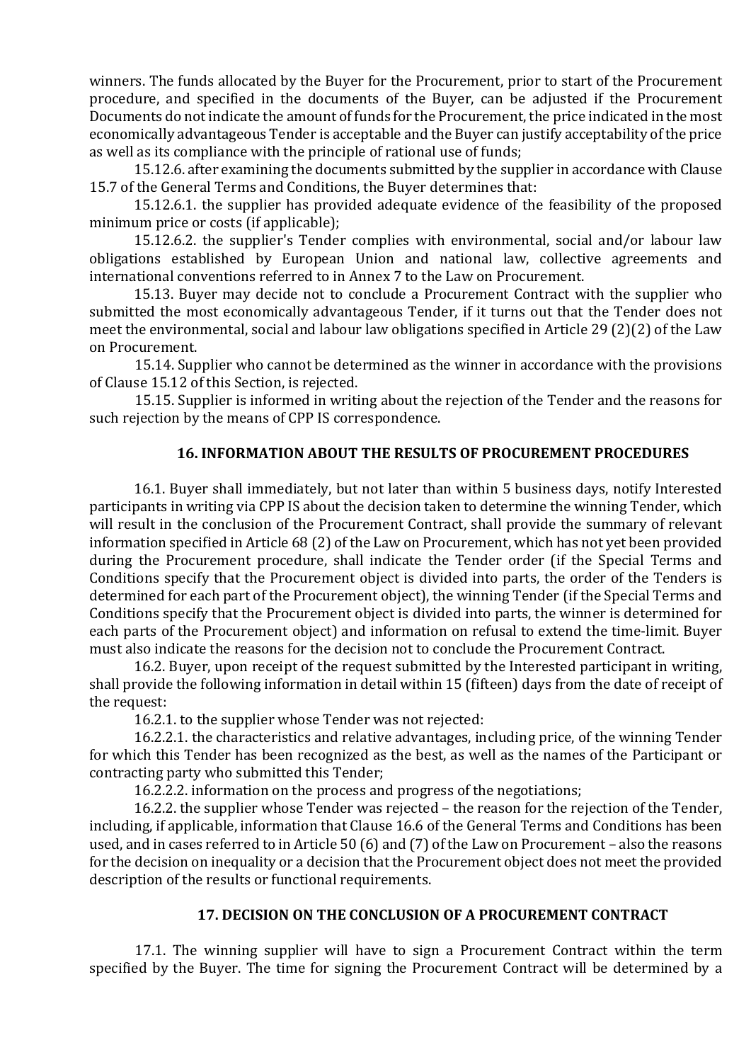winners. The funds allocated by the Buyer for the Procurement, prior to start of the Procurement procedure, and specified in the documents of the Buyer, can be adjusted if the Procurement Documents do not indicate the amount of funds for the Procurement, the price indicated in the most economically advantageous Tender is acceptable and the Buyer can justify acceptability of the price as well as its compliance with the principle of rational use of funds;

15.12.6. after examining the documents submitted by the supplier in accordance with Clause 15.7 of the General Terms and Conditions, the Buyer determines that:

15.12.6.1. the supplier has provided adequate evidence of the feasibility of the proposed minimum price or costs (if applicable);

15.12.6.2. the supplier's Tender complies with environmental, social and/or labour law obligations established by European Union and national law, collective agreements and international conventions referred to in Annex 7 to the Law on Procurement.

15.13. Buyer may decide not to conclude a Procurement Contract with the supplier who submitted the most economically advantageous Tender, if it turns out that the Tender does not meet the environmental, social and labour law obligations specified in Article 29 (2)(2) of the Law on Procurement.

15.14. Supplier who cannot be determined as the winner in accordance with the provisions of Clause 15.12 of this Section, is rejected.

15.15. Supplier is informed in writing about the rejection of the Tender and the reasons for such rejection by the means of CPP IS correspondence.

# 16. INFORMATION ABOUT THE RESULTS OF PROCUREMENT PROCEDURES

16.1. Buyer shall immediately, but not later than within 5 business days, notify Interested participants in writing via CPP IS about the decision taken to determine the winning Tender, which will result in the conclusion of the Procurement Contract, shall provide the summary of relevant information specified in Article 68 (2) of the Law on Procurement, which has not yet been provided during the Procurement procedure, shall indicate the Tender order (if the Special Terms and Conditions specify that the Procurement object is divided into parts, the order of the Tenders is determined for each part of the Procurement object), the winning Tender (if the Special Terms and Conditions specify that the Procurement object is divided into parts, the winner is determined for each parts of the Procurement object) and information on refusal to extend the time-limit. Buyer must also indicate the reasons for the decision not to conclude the Procurement Contract.

16.2. Buyer, upon receipt of the request submitted by the Interested participant in writing, shall provide the following information in detail within 15 (fifteen) days from the date of receipt of the request:

16.2.1. to the supplier whose Tender was not rejected:

16.2.2.1. the characteristics and relative advantages, including price, of the winning Tender for which this Tender has been recognized as the best, as well as the names of the Participant or contracting party who submitted this Tender;

16.2.2.2. information on the process and progress of the negotiations;

16.2.2. the supplier whose Tender was rejected – the reason for the rejection of the Tender, including, if applicable, information that Clause 16.6 of the General Terms and Conditions has been used, and in cases referred to in Article 50 (6) and (7) of the Law on Procurement – also the reasons for the decision on inequality or a decision that the Procurement object does not meet the provided description of the results or functional requirements.

### 17. DECISION ON THE CONCLUSION OF A PROCUREMENT CONTRACT

17.1. The winning supplier will have to sign a Procurement Contract within the term specified by the Buyer. The time for signing the Procurement Contract will be determined by a